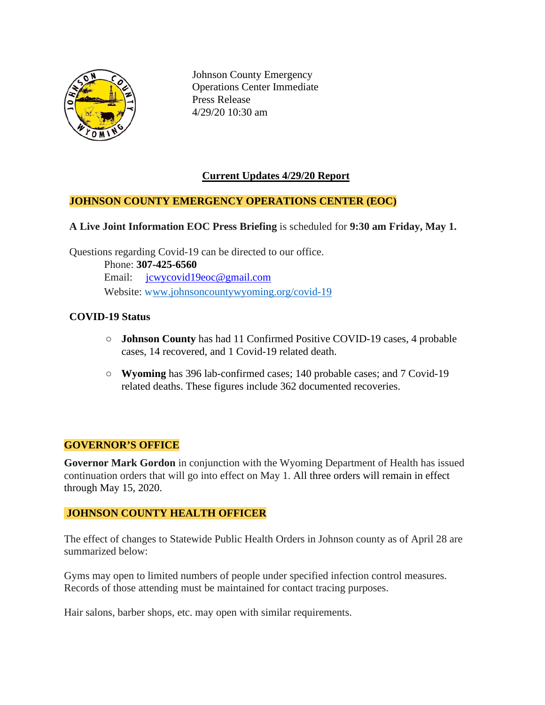

Johnson County Emergency Operations Center Immediate Press Release 4/29/20 10:30 am

# **Current Updates 4/29/20 Report**

# **JOHNSON COUNTY EMERGENCY OPERATIONS CENTER (EOC)**

#### **A Live Joint Information EOC Press Briefing** is scheduled for **9:30 am Friday, May 1.**

Questions regarding Covid-19 can be directed to our office. Phone: **307-425-6560** Email: [jcwycovid19eoc@gmail.com](mailto:jcwycovid19eoc@gmail.com) Website: [www.johnsoncountywyoming.org/covid-19](http://www.johnsoncountywyoming.org/covid-19)

#### **COVID-19 Status**

- **○ Johnson County** has had 11 Confirmed Positive COVID-19 cases, 4 probable cases, 14 recovered, and 1 Covid-19 related death.
- **○ Wyoming** has 396 lab-confirmed cases; 140 probable cases; and 7 Covid-19 related deaths. These figures include 362 documented recoveries.

#### **GOVERNOR'S OFFICE**

**Governor Mark Gordon** in conjunction with the Wyoming Department of Health has issued continuation orders that will go into effect on May 1. All three orders will remain in effect through May 15, 2020.

#### **JOHNSON COUNTY HEALTH OFFICER**

The effect of changes to Statewide Public Health Orders in Johnson county as of April 28 are summarized below:

Gyms may open to limited numbers of people under specified infection control measures. Records of those attending must be maintained for contact tracing purposes.

Hair salons, barber shops, etc. may open with similar requirements.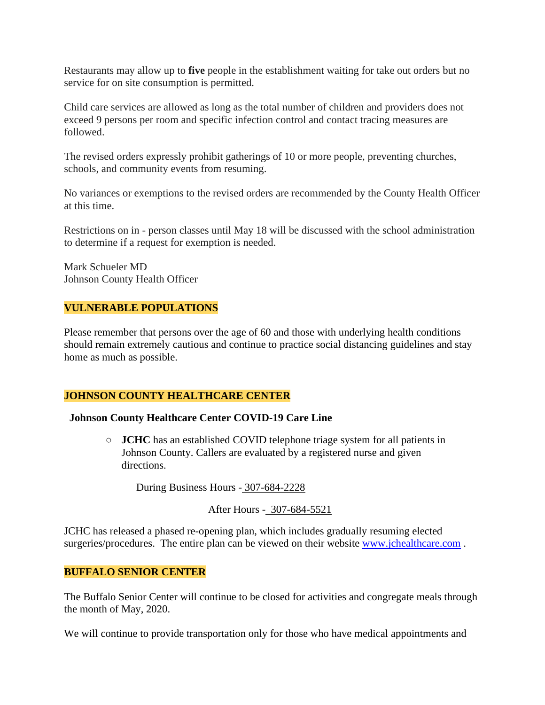Restaurants may allow up to **five** people in the establishment waiting for take out orders but no service for on site consumption is permitted.

Child care services are allowed as long as the total number of children and providers does not exceed 9 persons per room and specific infection control and contact tracing measures are followed.

The revised orders expressly prohibit gatherings of 10 or more people, preventing churches, schools, and community events from resuming.

No variances or exemptions to the revised orders are recommended by the County Health Officer at this time.

Restrictions on in - person classes until May 18 will be discussed with the school administration to determine if a request for exemption is needed.

Mark Schueler MD Johnson County Health Officer

# **VULNERABLE POPULATIONS**

Please remember that persons over the age of 60 and those with underlying health conditions should remain extremely cautious and continue to practice social distancing guidelines and stay home as much as possible.

#### **JOHNSON COUNTY HEALTHCARE CENTER**

#### **Johnson County Healthcare Center COVID-19 Care Line**

**○ JCHC** has an established COVID telephone triage system for all patients in Johnson County. Callers are evaluated by a registered nurse and given directions.

During Business Hours - 307-684-2228

After Hours - 307-684-5521

JCHC has released a phased re-opening plan, which includes gradually resuming elected surgeries/procedures. The entire plan can be viewed on their website [www.jchealthcare.com](http://www.jchealthcare.com/).

# **BUFFALO SENIOR CENTER**

The Buffalo Senior Center will continue to be closed for activities and congregate meals through the month of May, 2020.

We will continue to provide transportation only for those who have medical appointments and